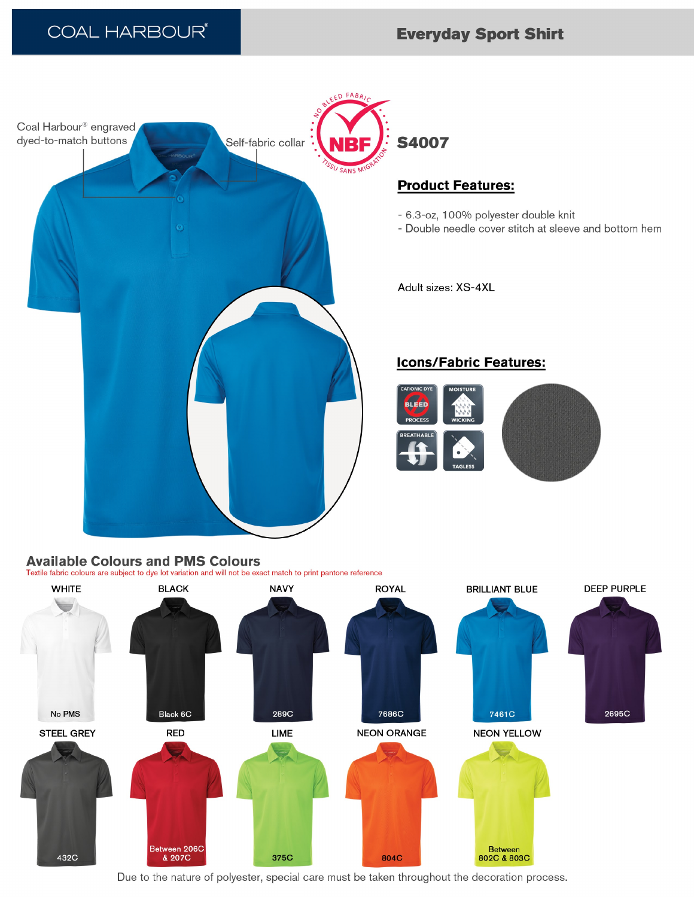

## **Available Colours and PMS Colours**

Textile fabric colours are subject to dye lot variation and will not be exact match to print pantone reference



Due to the nature of polyester, special care must be taken throughout the decoration process.